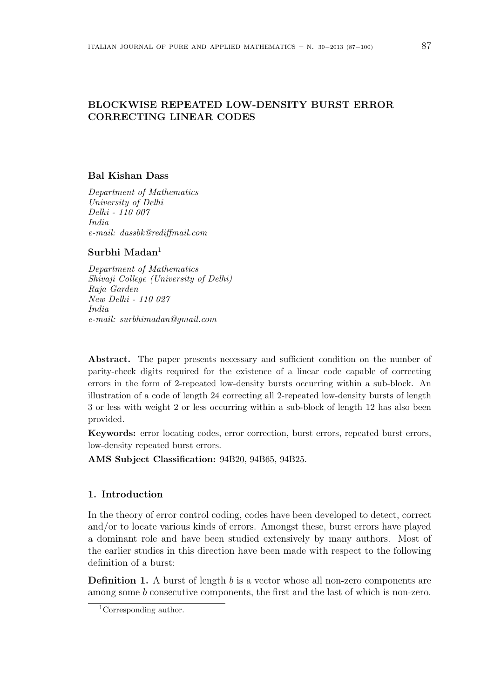# **BLOCKWISE REPEATED LOW-DENSITY BURST ERROR CORRECTING LINEAR CODES**

### **Bal Kishan Dass**

*Department of Mathematics University of Delhi Delhi - 110 007 India e-mail: dassbk@rediffmail.com*

## **Surbhi Madan**<sup>1</sup>

*Department of Mathematics Shivaji College (University of Delhi) Raja Garden New Delhi - 110 027 India e-mail: surbhimadan@gmail.com*

Abstract. The paper presents necessary and sufficient condition on the number of parity-check digits required for the existence of a linear code capable of correcting errors in the form of 2-repeated low-density bursts occurring within a sub-block. An illustration of a code of length 24 correcting all 2-repeated low-density bursts of length 3 or less with weight 2 or less occurring within a sub-block of length 12 has also been provided.

**Keywords:** error locating codes, error correction, burst errors, repeated burst errors, low-density repeated burst errors.

**AMS Subject Classification:** 94B20, 94B65, 94B25.

### **1. Introduction**

In the theory of error control coding, codes have been developed to detect, correct and/or to locate various kinds of errors. Amongst these, burst errors have played a dominant role and have been studied extensively by many authors. Most of the earlier studies in this direction have been made with respect to the following definition of a burst:

**Definition 1.** A burst of length *b* is a vector whose all non-zero components are among some *b* consecutive components, the first and the last of which is non-zero.

<sup>1</sup>Corresponding author.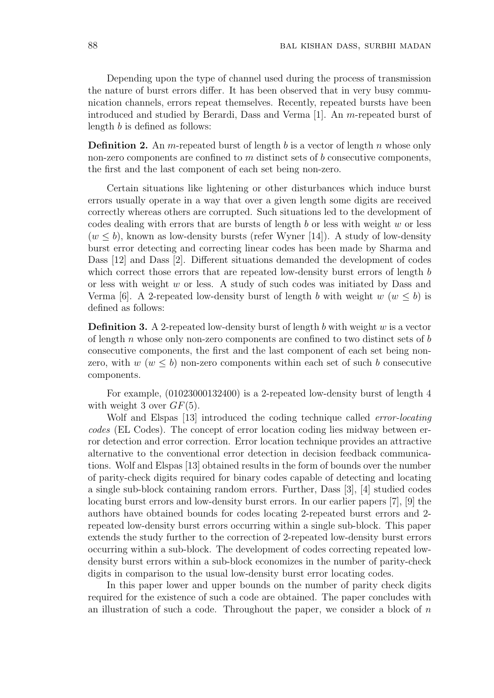Depending upon the type of channel used during the process of transmission the nature of burst errors differ. It has been observed that in very busy communication channels, errors repeat themselves. Recently, repeated bursts have been introduced and studied by Berardi, Dass and Verma [1]. An *m*-repeated burst of length *b* is defined as follows:

**Definition 2.** An *m*-repeated burst of length *b* is a vector of length *n* whose only non-zero components are confined to *m* distinct sets of *b* consecutive components, the first and the last component of each set being non-zero.

Certain situations like lightening or other disturbances which induce burst errors usually operate in a way that over a given length some digits are received correctly whereas others are corrupted. Such situations led to the development of codes dealing with errors that are bursts of length *b* or less with weight *w* or less  $(w \leq b)$ , known as low-density bursts (refer Wyner [14]). A study of low-density burst error detecting and correcting linear codes has been made by Sharma and Dass [12] and Dass [2]. Different situations demanded the development of codes which correct those errors that are repeated low-density burst errors of length *b* or less with weight *w* or less. A study of such codes was initiated by Dass and Verma [6]. A 2-repeated low-density burst of length *b* with weight  $w (w \leq b)$  is defined as follows:

**Definition 3.** A 2-repeated low-density burst of length *b* with weight *w* is a vector of length *n* whose only non-zero components are confined to two distinct sets of *b* consecutive components, the first and the last component of each set being nonzero, with  $w (w \leq b)$  non-zero components within each set of such *b* consecutive components.

For example, (01023000132400) is a 2-repeated low-density burst of length 4 with weight 3 over *GF*(5).

Wolf and Elspas [13] introduced the coding technique called *error-locating codes* (EL Codes). The concept of error location coding lies midway between error detection and error correction. Error location technique provides an attractive alternative to the conventional error detection in decision feedback communications. Wolf and Elspas [13] obtained results in the form of bounds over the number of parity-check digits required for binary codes capable of detecting and locating a single sub-block containing random errors. Further, Dass [3], [4] studied codes locating burst errors and low-density burst errors. In our earlier papers [7], [9] the authors have obtained bounds for codes locating 2-repeated burst errors and 2 repeated low-density burst errors occurring within a single sub-block. This paper extends the study further to the correction of 2-repeated low-density burst errors occurring within a sub-block. The development of codes correcting repeated lowdensity burst errors within a sub-block economizes in the number of parity-check digits in comparison to the usual low-density burst error locating codes.

In this paper lower and upper bounds on the number of parity check digits required for the existence of such a code are obtained. The paper concludes with an illustration of such a code. Throughout the paper, we consider a block of *n*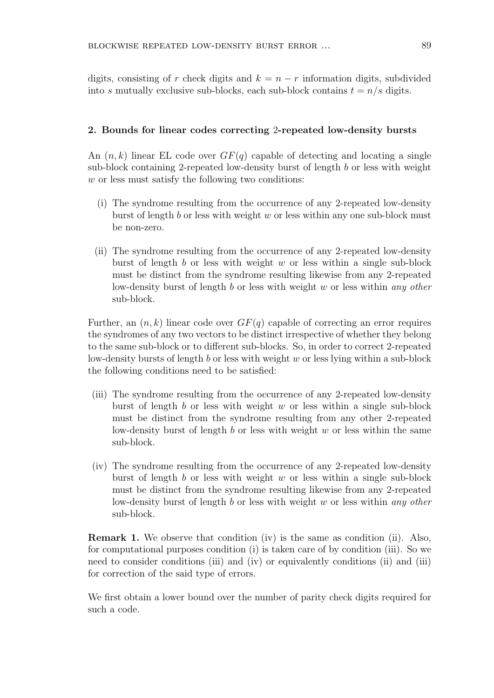digits, consisting of *r* check digits and  $k = n - r$  information digits, subdivided into *s* mutually exclusive sub-blocks, each sub-block contains  $t = n/s$  digits.

#### **2. Bounds for linear codes correcting** 2**-repeated low-density bursts**

An (*n, k*) linear EL code over *GF*(*q*) capable of detecting and locating a single sub-block containing 2-repeated low-density burst of length *b* or less with weight *w* or less must satisfy the following two conditions:

- (i) The syndrome resulting from the occurrence of any 2-repeated low-density burst of length *b* or less with weight *w* or less within any one sub-block must be non-zero.
- (ii) The syndrome resulting from the occurrence of any 2-repeated low-density burst of length *b* or less with weight *w* or less within a single sub-block must be distinct from the syndrome resulting likewise from any 2-repeated low-density burst of length *b* or less with weight *w* or less within *any other* sub-block.

Further, an  $(n, k)$  linear code over  $GF(q)$  capable of correcting an error requires the syndromes of any two vectors to be distinct irrespective of whether they belong to the same sub-block or to different sub-blocks. So, in order to correct 2-repeated low-density bursts of length *b* or less with weight *w* or less lying within a sub-block the following conditions need to be satisfied:

- (iii) The syndrome resulting from the occurrence of any 2-repeated low-density burst of length *b* or less with weight *w* or less within a single sub-block must be distinct from the syndrome resulting from any other 2-repeated low-density burst of length *b* or less with weight *w* or less within the same sub-block.
- (iv) The syndrome resulting from the occurrence of any 2-repeated low-density burst of length *b* or less with weight *w* or less within a single sub-block must be distinct from the syndrome resulting likewise from any 2-repeated low-density burst of length *b* or less with weight *w* or less within *any other* sub-block.

**Remark 1.** We observe that condition (iv) is the same as condition (ii). Also, for computational purposes condition (i) is taken care of by condition (iii). So we need to consider conditions (iii) and (iv) or equivalently conditions (ii) and (iii) for correction of the said type of errors.

We first obtain a lower bound over the number of parity check digits required for such a code.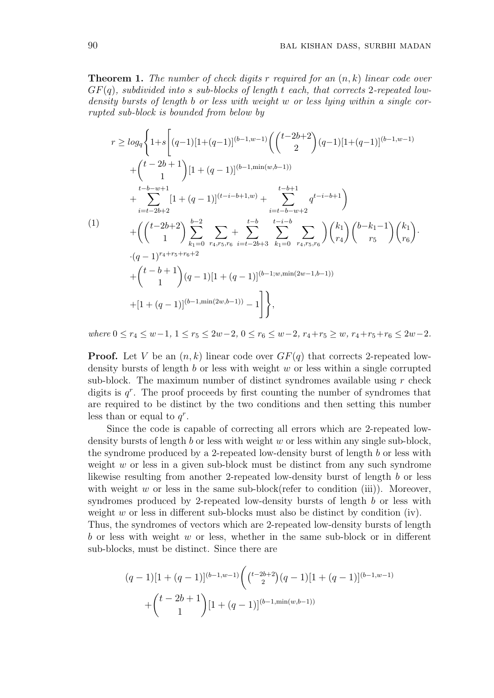**Theorem 1.** *The number of check digits r required for an* (*n, k*) *linear code over GF*(*q*)*, subdivided into s sub-blocks of length t each, that corrects* 2*-repeated lowdensity bursts of length b or less with weight w or less lying within a single corrupted sub-block is bounded from below by*

$$
r \ge \log_q \left\{ 1+s \left[ (q-1)[1+(q-1)]^{(b-1,w-1)} \left( \binom{t-2b+2}{2} (q-1)[1+(q-1)]^{(b-1,w-1)} + \binom{t-2b+1}{1} [1+(q-1)]^{(b-1,\min(w,b-1))} + \sum_{i=t-b+w+1}^{t-b-w+1} [1+(q-1)]^{(t-i-b+1,w)} + \sum_{i=t-b-w+2}^{t-b+1} q^{t-i-b+1} \right) \right\}
$$
\n
$$
(1) \qquad \qquad + \left( \binom{t-2b+2}{1} \sum_{k_1=0}^{b-2} \sum_{r_4,r_5,r_6} + \sum_{i=t-2b+3}^{t-b} \sum_{k_1=0}^{t-i-b} \sum_{r_4,r_5,r_6} \left( \binom{k_1}{r_4} \binom{b-k_1-1}{r_5} \binom{k_1}{r_6} \right) \cdot (q-1)^{r_4+r_5+r_6+2} + \binom{t-b+1}{1} (q-1)[1+(q-1)]^{(b-1;w,\min(2w-1,b-1))} + [1+(q-1)]^{(b-1,\min(2w,b-1))} - 1 \right] \bigg\},
$$

where  $0 \le r_4 \le w-1$ ,  $1 \le r_5 \le 2w-2$ ,  $0 \le r_6 \le w-2$ ,  $r_4+r_5 \ge w$ ,  $r_4+r_5+r_6 \le 2w-2$ .

**Proof.** Let *V* be an  $(n, k)$  linear code over  $GF(q)$  that corrects 2-repeated lowdensity bursts of length *b* or less with weight *w* or less within a single corrupted sub-block. The maximum number of distinct syndromes available using *r* check digits is  $q^r$ . The proof proceeds by first counting the number of syndromes that are required to be distinct by the two conditions and then setting this number less than or equal to  $q^r$ .

Since the code is capable of correcting all errors which are 2-repeated lowdensity bursts of length *b* or less with weight *w* or less within any single sub-block, the syndrome produced by a 2-repeated low-density burst of length *b* or less with weight *w* or less in a given sub-block must be distinct from any such syndrome likewise resulting from another 2-repeated low-density burst of length *b* or less with weight  $w$  or less in the same sub-block(refer to condition (iii)). Moreover, syndromes produced by 2-repeated low-density bursts of length *b* or less with weight *w* or less in different sub-blocks must also be distinct by condition (iv). Thus, the syndromes of vectors which are 2-repeated low-density bursts of length *b* or less with weight *w* or less, whether in the same sub-block or in different

$$
(q-1)[1+(q-1)]^{(b-1,w-1)}\left(\binom{t-2b+2}{2}(q-1)[1+(q-1)]^{(b-1,w-1)}+\binom{t-2b+1}{1}[1+(q-1)]^{(b-1,\min(w,b-1))}\right)
$$

sub-blocks, must be distinct. Since there are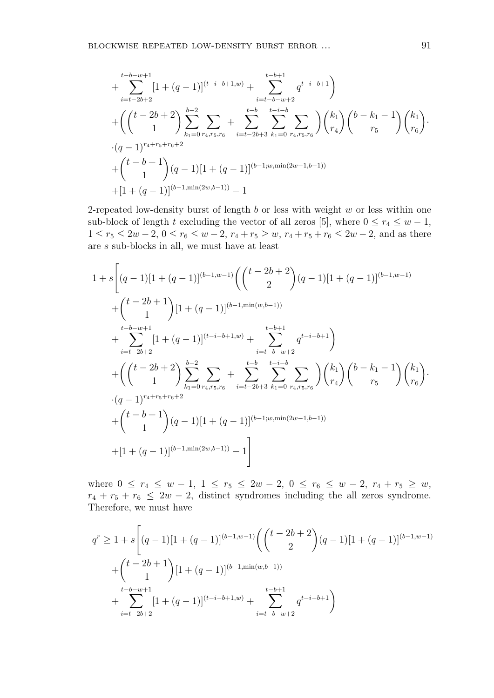$$
+\sum_{i=t-2b+2}^{t-b-w+1} [1+(q-1)]^{(t-i-b+1,w)} + \sum_{i=t-b-w+2}^{t-b+1} q^{t-i-b+1}
$$
  
+ 
$$
\left(\binom{t-2b+2}{1}\sum_{k_1=0}^{b-2} \sum_{r_4,r_5,r_6} + \sum_{i=t-2b+3}^{t-b} \sum_{k_1=0}^{t-i-b} \sum_{r_4,r_5,r_6} \binom{k_1}{r_4} \binom{b-k_1-1}{r_5} \binom{k_1}{r_6} \right)
$$
  
• 
$$
\cdot (q-1)^{r_4+r_5+r_6+2}
$$
  
+ 
$$
\binom{t-b+1}{1} (q-1)[1+(q-1)]^{(b-1;w,\min(2w-1,b-1))}
$$
  
+ 
$$
[1+(q-1)]^{(b-1,\min(2w,b-1))}-1
$$

2-repeated low-density burst of length *b* or less with weight *w* or less within one sub-block of length *t* excluding the vector of all zeros [5], where  $0 \le r_4 \le w - 1$ , 1 ≤  $r_5$  ≤ 2*w* − 2, 0 ≤  $r_6$  ≤ *w* − 2,  $r_4$  +  $r_5$  ≥ *w*,  $r_4$  +  $r_5$  +  $r_6$  ≤ 2*w* − 2, and as there are *s* sub-blocks in all, we must have at least

$$
1 + s \left[ (q - 1)[1 + (q - 1)]^{(b-1, w-1)} \left( \binom{t - 2b + 2}{2} (q - 1)[1 + (q - 1)]^{(b-1, w-1)} \right. \\ \left. + \binom{t - 2b + 1}{1} [1 + (q - 1)]^{(b-1, \min(w, b-1))} \right. \\ \left. + \sum_{i=t-2b+2}^{t-b-w+1} [1 + (q - 1)]^{(t-i-b+1, w)} + \sum_{i=t-b-w+2}^{t-b+1} q^{t-i-b+1} \right) \\ \left. + \left( \binom{t - 2b + 2}{1} \sum_{k_1=0}^{b-2} \sum_{r_4, r_5, r_6} + \sum_{i=t-2b+3}^{t-b} \sum_{k_1=0}^{t-i-b} \sum_{r_4, r_5, r_6} \right) \binom{k_1}{r_4} \binom{b-k_1 - 1}{r_5} \binom{k_1}{r_6} \right. \\ \cdot (q - 1)^{r_4+r_5+r_6+2} \\ \left. + \binom{t - b + 1}{1} (q - 1)[1 + (q - 1)]^{(b-1; w, \min(2w - 1, b - 1))} \\ \left. + [1 + (q - 1)]^{(b-1, \min(2w, b-1))} - 1 \right] \right]
$$

where  $0 \le r_4 \le w - 1, 1 \le r_5 \le 2w - 2, 0 \le r_6 \le w - 2, r_4 + r_5 \ge w$ ,  $r_4 + r_5 + r_6 \leq 2w - 2$ , distinct syndromes including the all zeros syndrome. Therefore, we must have

$$
q^{r} \ge 1 + s \left[ (q-1)[1 + (q-1)]^{(b-1,w-1)} \left( \binom{t-2b+2}{2} (q-1)[1 + (q-1)]^{(b-1,w-1)} \right) \right.
$$
  
+ 
$$
\binom{t-2b+1}{1} [1 + (q-1)]^{(b-1,\min(w,b-1))}
$$
  
+ 
$$
\sum_{i=t-2b+2}^{t-b-w+1} [1 + (q-1)]^{(t-i-b+1,w)} + \sum_{i=t-b-w+2}^{t-b+1} q^{t-i-b+1} \right)
$$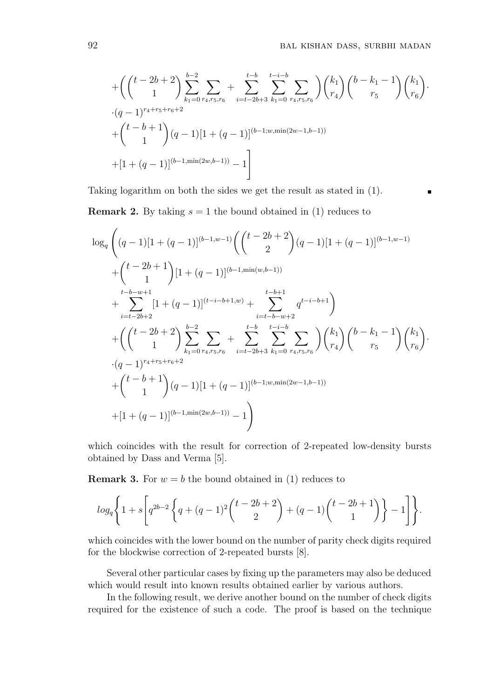$\blacksquare$ 

+ 
$$
\left( \binom{t-2b+2}{1} \sum_{k_1=0}^{b-2} \sum_{r_4,r_5,r_6} + \sum_{i=t-2b+3}^{t-b} \sum_{k_1=0}^{t-i-b} \sum_{r_4,r_5,r_6} \right) \binom{k_1}{r_4} \binom{b-k_1-1}{r_5} \binom{k_1}{r_6} \cdot (q-1)^{r_4+r_5+r_6+2} + \binom{t-b+1}{1} (q-1) [1+(q-1)]^{(b-1;w,\min(2w-1,b-1))} + [1+(q-1)]^{(b-1,\min(2w,b-1))} - 1 \right]
$$

Taking logarithm on both the sides we get the result as stated in (1).

**Remark 2.** By taking  $s = 1$  the bound obtained in (1) reduces to

$$
\log_q \left( (q-1)[1+(q-1)]^{(b-1,w-1)} \left( \binom{t-2b+2}{2} (q-1)[1+(q-1)]^{(b-1,w-1)} \right) \right.
$$
  
+ 
$$
\binom{t-2b+1}{1} [1+(q-1)]^{(b-1,\min(w,b-1))}
$$
  
+ 
$$
\sum_{i=t-2b+2}^{t-b-w+1} [1+(q-1)]^{(t-i-b+1,w)} + \sum_{i=t-b-w+2}^{t-b+1} q^{t-i-b+1} \right)
$$
  
+ 
$$
\left( \binom{t-2b+2}{1} \sum_{k_1=0}^{b-2} \sum_{r_4,r_5,r_6} + \sum_{i=t-2b+3}^{t-b} \sum_{k_1=0}^{t-i-b} \sum_{r_4,r_5,r_6} \right) \binom{k_1}{r_4} {b-k_1-1 \choose r_5} {k_1 \choose r_6}.
$$
  
 
$$
\cdot (q-1)^{r_4+r_5+r_6+2}
$$
  
+ 
$$
\binom{t-b+1}{1} (q-1)[1+(q-1)]^{(b-1;w,\min(2w-1,b-1))}
$$
  
+ 
$$
[1+(q-1)]^{(b-1,\min(2w,b-1))}-1
$$

which coincides with the result for correction of 2-repeated low-density bursts obtained by Dass and Verma [5].

**Remark 3.** For  $w = b$  the bound obtained in (1) reduces to

$$
\log_q\Bigg\{1+s\Bigg[q^{2b-2}\left\{q+(q-1)^2\binom{t-2b+2}{2}+(q-1)\binom{t-2b+1}{1}\right\}-1\Bigg]\Bigg\}.
$$

which coincides with the lower bound on the number of parity check digits required for the blockwise correction of 2-repeated bursts [8].

Several other particular cases by fixing up the parameters may also be deduced which would result into known results obtained earlier by various authors.

In the following result, we derive another bound on the number of check digits required for the existence of such a code. The proof is based on the technique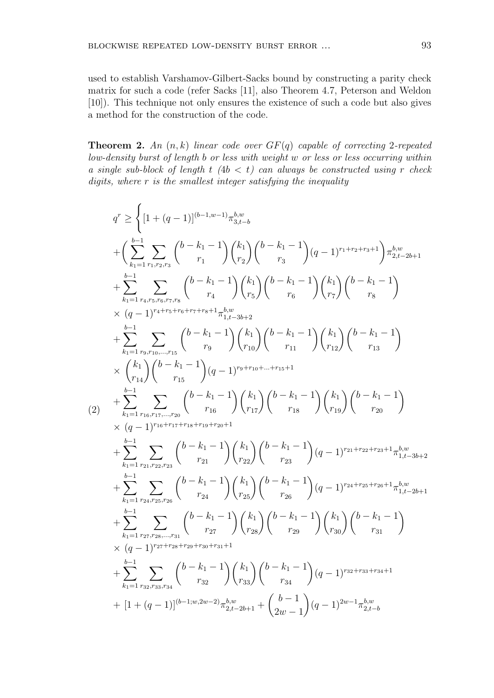used to establish Varshamov-Gilbert-Sacks bound by constructing a parity check matrix for such a code (refer Sacks [11], also Theorem 4.7, Peterson and Weldon [10]). This technique not only ensures the existence of such a code but also gives a method for the construction of the code.

**Theorem 2.** *An* (*n, k*) *linear code over GF*(*q*) *capable of correcting* 2*-repeated low-density burst of length b or less with weight w or less or less occurring within a single sub-block of length*  $t$   $(4b < t)$  *can always be constructed using r check digits, where r is the smallest integer satisfying the inequality*

$$
\begin{split} q^r &\geq \Bigg\{[1+(q-1)]^{(b-1,w-1)}\pi_{3,t-b}^{b,w} \\ &+\bigg(\sum_{k_1=1}^{b-1}\sum_{r_1,r_2,r_3}\binom{b-k_1-1}{r_1}\binom{k_1}{r_2}\binom{b-k_1-1}{r_3}(q-1)^{r_1+r_2+r_3+1}\pi_{2,t-b+1}^{b,w} \\ &+\sum_{k_1=1}^{b-1}\sum_{r_4,r_5,r_6,r_7,s}\binom{b-k_1-1}{r_4}\binom{k_1}{r_5}\binom{b-k_1-1}{r_6}\binom{k_1}{r_7}\binom{b-k_1-1}{r_8} \\ &\times (q-1)^{r_4+r_5+r_6+r_7+r_8+1}\pi_{1,t-b+2}^{b,w} \\ &+\sum_{k_1=1}^{b-1}\sum_{r_3,r_{10},\ldots,r_{15}}\binom{b-k_1-1}{r_9}\binom{k_1}{r_{10}}\binom{b-k_1-1}{r_{11}}\binom{k_1}{r_{12}}\binom{b-k_1-1}{r_{13}} \\ &\times \binom{k_1}{r_{14}}\binom{b-k_1-1}{r_{15}}(q-1)^{r_9+r_10+\ldots+r_{15}+1} \\ &\qquad \qquad \times (q-1)^{r_1(b+r_1+r_1+s_1+s_1+s_2+1} \\ &\qquad \qquad \times (q-1)^{r_1(b+r_1+r_1+s_1+s_2+1} \\ &\qquad \qquad \times (q-1)^{r_1(b+r_1+r_1+s_1+s_2+2)} \\ &\qquad \qquad + \sum_{k_1=1}^{b-1}\sum_{r_2,r_2,r_2s}\binom{b-k_1-1}{r_{21}}\binom{k_1}{r_{22}}\binom{b-k_1-1}{r_{23}}(q-1)^{r_2+1+s_2+1} \pi_{1,t-3b+2}^{b,w} \\ &\qquad \qquad + \sum_{k_1=1}^{b-1}\sum_{r_2,r_3s,r_3s}\binom{b-k_1-1}{r_{24}}\binom{k_1}{r_2s}\binom{b-k_1-1}{r_{25}}(q-1)^{r_2+1+s_2+1} \pi_{1,t-2b+
$$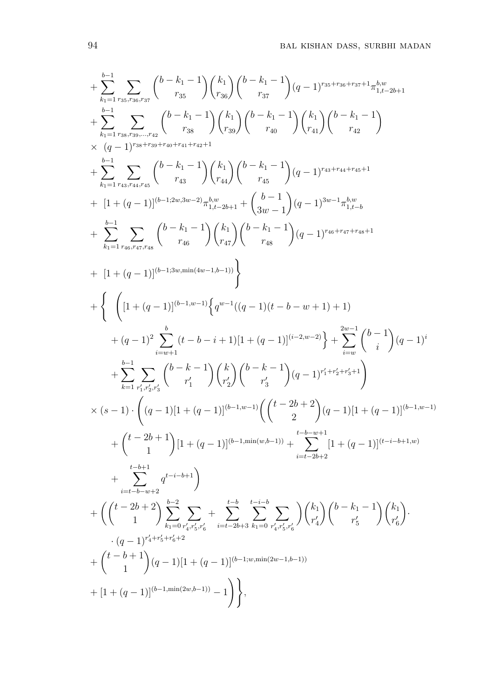$$
+\sum_{k_{1}=1}^{b-1} \sum_{r_{33},r_{36},r_{37}} \binom{b-k_{1}-1}{r_{35}} \binom{k_{1}}{r_{35}} \binom{b-k_{1}-1}{r_{37}} (q-1)^{r_{33}+r_{36}+r_{37}+1} \pi_{1,t-2b+1}^{b,w} \n+ \sum_{k_{1}=1}^{b-1} \sum_{r_{35},r_{36},\ldots,r_{42}} \binom{b-k_{1}-1}{r_{35}} \binom{k_{1}}{r_{39}} \binom{b-k_{1}-1}{r_{40}} \binom{k_{1}}{r_{41}} \binom{b-k_{1}-1}{r_{42}} \\ \times (q-1)^{r_{38}+r_{30}+r_{40}+r_{41}+r_{42}+1} \\ + \sum_{k_{1}=1}^{b-1} \sum_{r_{43},r_{44},r_{45}} \binom{b-k_{1}-1}{r_{43}} \binom{k_{1}}{r_{44}} \binom{b-k_{1}-1}{r_{45}} (q-1)^{r_{43}+r_{44}+r_{45}+1} \\ + [1+(q-1)]^{(b-1,2w,3w-2)} \pi_{1,t-2b+1}^{b,w} + \binom{b-1}{3w-1} (q-1)^{3w-1} \pi_{1,t-2b}^{b,w} \\ + \sum_{k_{1}=1}^{b-1} \sum_{r_{40},r_{47},r_{48}} \binom{b-k_{1}-1}{r_{45}} \binom{k_{1}}{r_{43}} \binom{b-k_{1}-1}{r_{48}} (q-1)^{r_{46}+r_{47}+r_{48}+1} \\ + [1+(q-1)]^{(b-1,3w,min(4w-1,b-1))} \} \\ + \left\{ \left( [1+(q-1)]^{(b-1,w-1)} \left\{ q^{w-1} ((q-1)(t-b-w+1)+1) \right. \\ + (q-1)^2 \sum_{i=w+1}^{b-1} (t-b-i+1) [1+(q-1)]^{(i-2,w-2)} \right\} + \sum_{i=w}^{2w-1} \binom{b-1}{i} (q-1)^i \\ + \sum_{k=1}^{b-1} \sum_{r_{i},r_{5},r_{5}} \binom{k-r_{i}}{r_{i}}
$$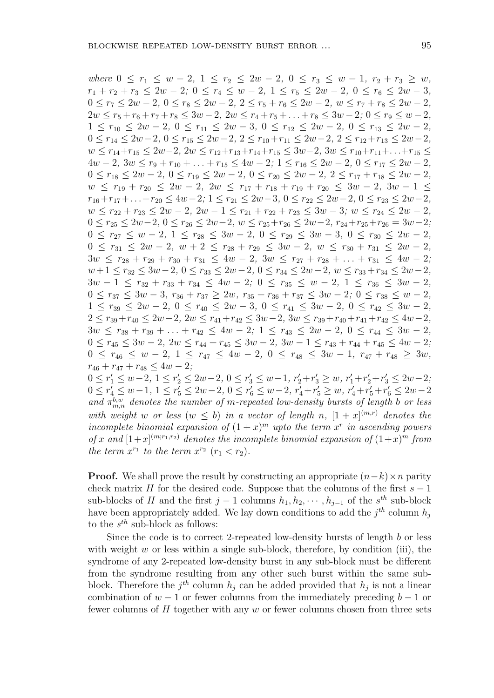where  $0 \leq r_1 \leq w-2$ ,  $1 \leq r_2 \leq 2w-2$ ,  $0 \leq r_3 \leq w-1$ ,  $r_2 + r_3 \geq w$ ,  $r_1 + r_2 + r_3 \leq 2w - 2$ ;  $0 \leq r_4 \leq w - 2$ ,  $1 \leq r_5 \leq 2w - 2$ ,  $0 \leq r_6 \leq 2w - 3$ ,  $0 \leq r_7 \leq 2w - 2$ ,  $0 \leq r_8 \leq 2w - 2$ ,  $2 \leq r_5 + r_6 \leq 2w - 2$ ,  $w \leq r_7 + r_8 \leq 2w - 2$ ,  $2w \le r_5 + r_6 + r_7 + r_8 \le 3w - 2$ ,  $2w \le r_4 + r_5 + \ldots + r_8 \le 3w - 2$ ;  $0 \le r_9 \le w - 2$ ,  $1 \leq r_{10} \leq 2w - 2, 0 \leq r_{11} \leq 2w - 3, 0 \leq r_{12} \leq 2w - 2, 0 \leq r_{13} \leq 2w - 2,$  $0 \le r_{14} \le 2w-2$ ,  $0 \le r_{15} \le 2w-2$ ,  $2 \le r_{10}+r_{11} \le 2w-2$ ,  $2 \le r_{12}+r_{13} \le 2w-2$ ,  $w < r_{14} + r_{15} \leq 2w - 2$ ,  $2w \leq r_{12} + r_{13} + r_{14} + r_{15} \leq 3w - 2$ ,  $3w \leq r_{10} + r_{11} + ... + r_{15} \leq$  $4w-2$ ,  $3w \le r_9+r_{10}+\ldots+r_{15} \le 4w-2$ ;  $1 \le r_{16} \le 2w-2$ ,  $0 \le r_{17} \le 2w-2$ ,  $0 \le r_{18} \le 2w - 2$ ,  $0 \le r_{19} \le 2w - 2$ ,  $0 \le r_{20} \le 2w - 2$ ,  $2 \le r_{17} + r_{18} \le 2w - 2$ ,  $w \leq r_{19} + r_{20} \leq 2w - 2$ ,  $2w \leq r_{17} + r_{18} + r_{19} + r_{20} \leq 3w - 2$ ,  $3w - 1 \leq$  $r_{16} + r_{17} + \ldots + r_{20} \le 4w - 2$ ;  $1 \le r_{21} \le 2w - 3$ ,  $0 \le r_{22} \le 2w - 2$ ,  $0 \le r_{23} \le 2w - 2$ ,  $w \leq r_{22} + r_{23} \leq 2w - 2$ ,  $2w - 1 \leq r_{21} + r_{22} + r_{23} \leq 3w - 3$ ;  $w \leq r_{24} \leq 2w - 2$ ,  $0 \le r_{25} \le 2w-2$ ,  $0 \le r_{26} \le 2w-2$ ,  $w \le r_{25}+r_{26} \le 2w-2$ ,  $r_{24}+r_{25}+r_{26} = 3w-2$ ;  $0 \le r_{27} \le w - 2, \ 1 \le r_{28} \le 3w - 2, \ 0 \le r_{29} \le 3w - 3, \ 0 \le r_{30} \le 2w - 2,$  $0 \leq r_{31} \leq 2w - 2$ ,  $w + 2 \leq r_{28} + r_{29} \leq 3w - 2$ ,  $w \leq r_{30} + r_{31} \leq 2w - 2$ ,  $3w \leq r_{28} + r_{29} + r_{30} + r_{31} \leq 4w - 2$ ,  $3w \leq r_{27} + r_{28} + \ldots + r_{31} \leq 4w - 2$ ;  $w+1 \leq r_{32} \leq 3w-2, \ 0 \leq r_{33} \leq 2w-2, \ 0 \leq r_{34} \leq 2w-2, \ w \leq r_{33}+r_{34} \leq 2w-2,$  $3w - 1 \leq r_{32} + r_{33} + r_{34} \leq 4w - 2$ ;  $0 \leq r_{35} \leq w - 2$ ,  $1 \leq r_{36} \leq 3w - 2$ ,  $0 \leq r_{37} \leq 3w - 3$ ,  $r_{36} + r_{37} \geq 2w$ ,  $r_{35} + r_{36} + r_{37} \leq 3w - 2$ ;  $0 \leq r_{38} \leq w - 2$ ,  $1 \leq r_{39} \leq 2w - 2, 0 \leq r_{40} \leq 2w - 3, 0 \leq r_{41} \leq 3w - 2, 0 \leq r_{42} \leq 3w - 2,$  $2 \leq r_{39} + r_{40} \leq 2w - 2$ ,  $2w \leq r_{41} + r_{42} \leq 3w - 2$ ,  $3w \leq r_{39} + r_{40} + r_{41} + r_{42} \leq 4w - 2$ ,  $3w \leq r_{38} + r_{39} + \ldots + r_{42} \leq 4w - 2$ ;  $1 \leq r_{43} \leq 2w - 2$ ,  $0 \leq r_{44} \leq 3w - 2$ ,  $0 \le r_{45} \le 3w - 2$ ,  $2w \le r_{44} + r_{45} \le 3w - 2$ ,  $3w - 1 \le r_{43} + r_{44} + r_{45} \le 4w - 2$ ;  $0 \leq r_{46} \leq w-2, \ 1 \leq r_{47} \leq 4w-2, \ 0 \leq r_{48} \leq 3w-1, \ r_{47}+r_{48} \geq 3w,$  $r_{46} + r_{47} + r_{48} \leq 4w - 2$ ;  $0 \le r'_1 \le w-2, 1 \le r'_2 \le 2w-2, 0 \le r'_3 \le w-1, r'_2+r'_3 \ge w, r'_1+r'_2+r'_3 \le 2w-2,$  $0 \leq r'_4 \leq w-1, \ 1 \leq r'_5 \leq 2w-2, \ 0 \leq r'_6 \leq w-2, \ r'_4+r'_5 \geq w, \ r'_4+r'_5+r'_6 \leq 2w-2$ *and*  $\pi_{m,n}^{b,w}$  *denotes the number of m-repeated low-density bursts of length b or less with weight w or less* ( $w \leq b$ ) *in a vector of length n*,  $[1 + x]^{(m,r)}$  *denotes the* 

*incomplete binomial expansion of*  $(1+x)^m$  *upto the term x*<sup>*r*</sup> *in ascending powers of x* and  $[1+x]^{(m;r_1,r_2)}$  denotes the incomplete binomial expansion of  $(1+x)^m$  from *the term*  $x^{r_1}$  *to the term*  $x^{r_2}$  ( $r_1 < r_2$ ).

**Proof.** We shall prove the result by constructing an appropriate  $(n-k) \times n$  parity check matrix *H* for the desired code. Suppose that the columns of the first  $s - 1$ sub-blocks of *H* and the first  $j - 1$  columns  $h_1, h_2, \cdots, h_{j-1}$  of the  $s^{th}$  sub-block have been appropriately added. We lay down conditions to add the  $j^{th}$  column  $h_j$ to the *s th* sub-block as follows:

Since the code is to correct 2-repeated low-density bursts of length *b* or less with weight  $w$  or less within a single sub-block, therefore, by condition (iii), the syndrome of any 2-repeated low-density burst in any sub-block must be different from the syndrome resulting from any other such burst within the same subblock. Therefore the  $j^{th}$  column  $h_j$  can be added provided that  $h_j$  is not a linear combination of  $w - 1$  or fewer columns from the immediately preceding  $b - 1$  or fewer columns of *H* together with any *w* or fewer columns chosen from three sets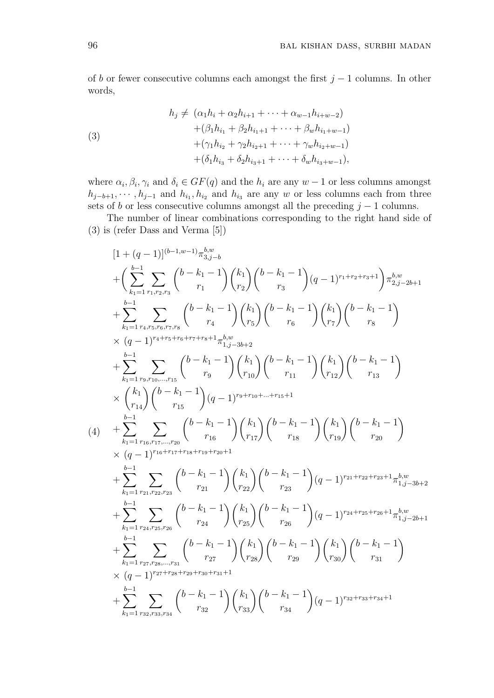of *b* or fewer consecutive columns each amongst the first *j −* 1 columns. In other words,

(3)  
\n
$$
h_j \neq (\alpha_1 h_i + \alpha_2 h_{i+1} + \cdots + \alpha_{w-1} h_{i+w-2})
$$
\n
$$
+ (\beta_1 h_{i_1} + \beta_2 h_{i_1+1} + \cdots + \beta_w h_{i_1+w-1})
$$
\n
$$
+ (\gamma_1 h_{i_2} + \gamma_2 h_{i_2+1} + \cdots + \gamma_w h_{i_2+w-1})
$$
\n
$$
+ (\delta_1 h_{i_3} + \delta_2 h_{i_3+1} + \cdots + \delta_w h_{i_3+w-1}),
$$

where  $\alpha_i, \beta_i, \gamma_i$  and  $\delta_i \in GF(q)$  and the  $h_i$  are any  $w-1$  or less columns amongst  $h_{j-b+1}, \cdots, h_{j-1}$  and  $h_{i_1}, h_{i_2}$  and  $h_{i_3}$  are any *w* or less columns each from three sets of *b* or less consecutive columns amongst all the preceding  $j - 1$  columns.

The number of linear combinations corresponding to the right hand side of (3) is (refer Dass and Verma [5])

$$
\begin{split} &\left[1+(q-1)\right]^{(b-1,w-1)}\pi_{3,j-b}^{b,w}\\ &+\bigg(\sum_{k_{1}=1}^{b-1}\sum_{r_{1},r_{2},r_{3}}\binom{b-k_{1}-1}{r_{1}}\binom{k_{1}}{r_{2}}\binom{b-k_{1}-1}{r_{3}}(q-1)^{r_{1}+r_{2}+r_{3}+1}\pi_{2,j-2b+1}^{b,w}\\ &+\sum_{k_{1}=1}^{b-1}\sum_{r_{4},r_{5},r_{6},r_{7},r_{8}}\binom{b-k_{1}-1}{r_{4}}\binom{k_{1}}{r_{5}}\binom{b-k_{1}-1}{r_{6}}\binom{k_{1}}{r_{7}}\binom{b-k_{1}-1}{r_{8}}\\ &\times(q-1)^{r_{4}+r_{5}+r_{6}+r_{7}+r_{8}+1}\pi_{1,j-3b+2}^{b,w}\\ &+\sum_{k_{1}=1}^{b-1}\sum_{r_{9},r_{10},\ldots,r_{15}}\binom{b-k_{1}-1}{r_{9}}\binom{k_{1}}{r_{10}}\binom{b-k_{1}-1}{r_{11}}\binom{k_{1}}{r_{12}}\binom{b-k_{1}-1}{r_{13}}\\ &\times\binom{k_{1}}{r_{14}}\binom{b-k_{1}-1}{r_{15}}(q-1)^{r_{9}+r_{10}+\ldots+r_{15}+1}\\ &\qquad \qquad (4)\quad+\sum_{k_{1}=1}^{b-1}\sum_{r_{16},r_{17},\ldots,r_{20}}\binom{b-k_{1}-1}{r_{16}}\binom{k_{1}}{r_{17}}\binom{b-k_{1}-1}{r_{18}}\binom{k_{1}}{r_{19}}\binom{b-k_{1}-1}{r_{20}}\\ &\qquad \qquad \qquad (4-1)^{r_{16}+r_{17}+r_{18}+r_{19}+r_{20}+1}\\ &\qquad \qquad +\sum_{k_{1}=1}^{b-1}\sum_{r_{21},r_{22},r_{23}}\binom{b-k_{1}-1}{r_{21}}\binom{k_{1}}{r_{22}}\binom{b-k_{1}-1}{r_{23}}(q-1)^{r_{21}+r_{22}+r_{23}+1}\pi_{1,j-3b+2}^{
$$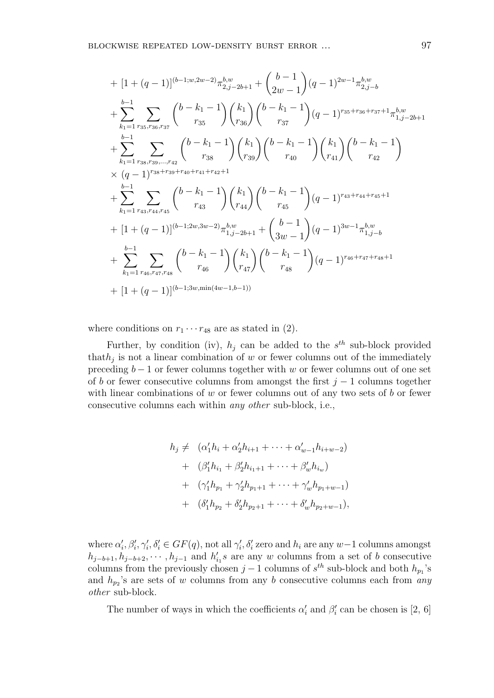+ 
$$
[1 + (q - 1)]^{(b-1; w, 2w-2)} \pi_{2,j-2b+1}^{b,w} + \binom{b-1}{2w-1} (q-1)^{2w-1} \pi_{2,j-b}^{b,w}
$$
  
+  $\sum_{k_1=1}^{b-1} \sum_{r_{35}, r_{36}, r_{37}} \binom{b-k_1-1}{r_{35}} \binom{k_1}{r_{36}} \binom{b-k_1-1}{r_{37}} (q-1)^{r_{35}+r_{36}+r_{37}+1} \pi_{1,j-2b+1}^{b,w}$   
+  $\sum_{k_1=1}^{b-1} \sum_{r_{38}, r_{39}, \dots, r_{42}} \binom{b-k_1-1}{r_{38}} \binom{k_1}{r_{39}} \binom{b-k_1-1}{r_{40}} \binom{k_1}{r_{41}} \binom{b-k_1-1}{r_{42}}$   
×  $(q-1)^{r_{38}+r_{39}+r_{40}+r_{41}+r_{42}+1}$   
+  $\sum_{k_1=1}^{b-1} \sum_{r_{43}, r_{44}, r_{45}} \binom{b-k_1-1}{r_{43}} \binom{k_1}{r_{44}} \binom{b-k_1-1}{r_{45}} (q-1)^{r_{43}+r_{44}+r_{45}+1}$   
+  $[1 + (q-1)]^{(b-1; 2w, 3w-2)} \pi_{1,j-2b+1}^{b,w} + \binom{b-1}{3w-1} (q-1)^{3w-1} \pi_{1,j-b}^{b,w}$   
+  $\sum_{k_1=1}^{b-1} \sum_{r_{46}, r_{47}, r_{48}} \binom{b-k_1-1}{r_{46}} \binom{k_1}{r_{47}} \binom{b-k_1-1}{r_{48}} (q-1)^{r_{46}+r_{47}+r_{48}+1}$   
+  $[1 + (q-1)]^{(b-1; 3w, min(4w-1,b-1))}$ 

where conditions on  $r_1 \cdots r_{48}$  are as stated in (2).

Further, by condition (iv),  $h_j$  can be added to the  $s^{th}$  sub-block provided that*h<sup>j</sup>* is not a linear combination of *w* or fewer columns out of the immediately preceding *b −* 1 or fewer columns together with *w* or fewer columns out of one set of *b* or fewer consecutive columns from amongst the first *j −* 1 columns together with linear combinations of *w* or fewer columns out of any two sets of *b* or fewer consecutive columns each within *any other* sub-block, i.e.,

$$
h_j \neq (\alpha'_1 h_i + \alpha'_2 h_{i+1} + \dots + \alpha'_{w-1} h_{i+w-2})
$$
  
+ 
$$
(\beta'_1 h_{i_1} + \beta'_2 h_{i_1+1} + \dots + \beta'_w h_{i_w})
$$
  
+ 
$$
(\gamma'_1 h_{p_1} + \gamma'_2 h_{p_1+1} + \dots + \gamma'_w h_{p_1+w-1})
$$
  
+ 
$$
(\delta'_1 h_{p_2} + \delta'_2 h_{p_2+1} + \dots + \delta'_w h_{p_2+w-1}),
$$

where  $\alpha'_i, \beta'_i, \gamma'_i, \delta'_i \in GF(q)$ , not all  $\gamma'_i, \delta'_i$  zero and  $h_i$  are any  $w-1$  columns amongst  $h_{j-b+1}, h_{j-b+2}, \cdots, h_{j-1}$  and  $h'_{i,j}$  are any *w* columns from a set of *b* consecutive columns from the previously chosen  $j-1$  columns of  $s^{th}$  sub-block and both  $h_{p_1}$ 's and *h<sup>p</sup>*<sup>2</sup> 's are sets of *w* columns from any *b* consecutive columns each from *any other* sub-block.

The number of ways in which the coefficients  $\alpha'_{i}$  and  $\beta'_{i}$  can be chosen is [2, 6]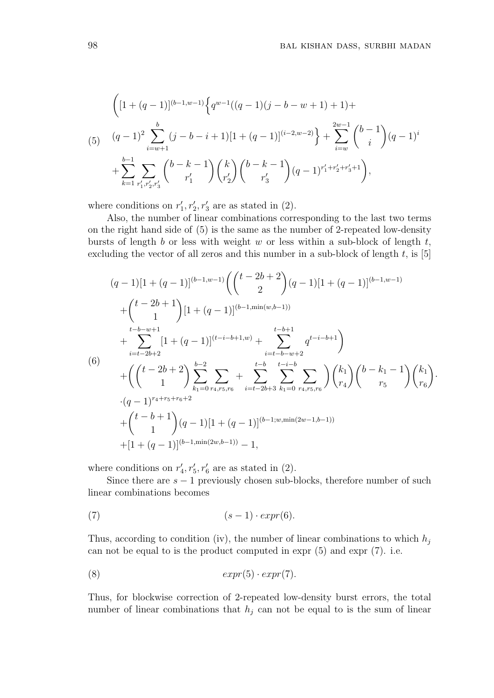$$
\left( [1 + (q-1)]^{(b-1,w-1)} \left\{ q^{w-1}((q-1)(j-b-w+1)+1) + (q-1)^2 \sum_{i=w+1}^b (j-b-i+1)[1+(q-1)]^{(i-2,w-2)} \right\} + \sum_{i=w}^{2w-1} {b-1 \choose i} (q-1)^i
$$
  
+ 
$$
\sum_{k=1}^{b-1} \sum_{r'_1,r'_2,r'_3} {b-k-1 \choose r'_1} {k \choose r'_2} {b-k-1 \choose r'_3} (q-1)^{r'_1+r'_2+r'_3+1} ,
$$

where conditions on  $r'_1, r'_2, r'_3$  are as stated in (2).

Also, the number of linear combinations corresponding to the last two terms on the right hand side of (5) is the same as the number of 2-repeated low-density bursts of length *b* or less with weight *w* or less within a sub-block of length *t*, excluding the vector of all zeros and this number in a sub-block of length *t*, is [5]

$$
(q-1)[1+(q-1)]^{(b-1,w-1)}\left(\binom{t-2b+2}{2}(q-1)[1+(q-1)]^{(b-1,w-1)}\right)
$$
  
+ 
$$
\binom{t-2b+1}{1}[1+(q-1)]^{(b-1,\min(w,b-1))}
$$
  
+ 
$$
\sum_{i=t-2b+2}^{t-b-w+1}[1+(q-1)]^{(t-i-b+1,w)} + \sum_{i=t-b-w+2}^{t-b+1} q^{t-i-b+1}\right)
$$
  
(6)  
+ 
$$
\left(\binom{t-2b+2}{1}\sum_{k_1=0}^{b-2}\sum_{r_4,r_5,r_6} + \sum_{i=t-2b+3}^{t-b}\sum_{k_1=0}^{t-i-b}\sum_{r_4,r_5,r_6}\right)\binom{k_1}{r_4}\binom{b-k_1-1}{r_5}\binom{k_1}{r_6}.
$$
  
 
$$
\cdot(q-1)^{r_4+r_5+r_6+2} + \binom{t-b+1}{1}(q-1)[1+(q-1)]^{(b-1;w,\min(2w-1,b-1))}
$$
  
+ 
$$
[1+(q-1)]^{(b-1,\min(2w,b-1))}-1,
$$

where conditions on  $r'_{4}$ ,  $r'_{5}$ ,  $r'_{6}$  are as stated in (2).

Since there are  $s - 1$  previously chosen sub-blocks, therefore number of such linear combinations becomes

$$
(7) \qquad (s-1) \cdot expr(6).
$$

Thus, according to condition (iv), the number of linear combinations to which *h<sup>j</sup>* can not be equal to is the product computed in expr (5) and expr (7). i.e.

$$
(8) \t\t\t expr(5) \cdot expr(7).
$$

Thus, for blockwise correction of 2-repeated low-density burst errors, the total number of linear combinations that  $h_j$  can not be equal to is the sum of linear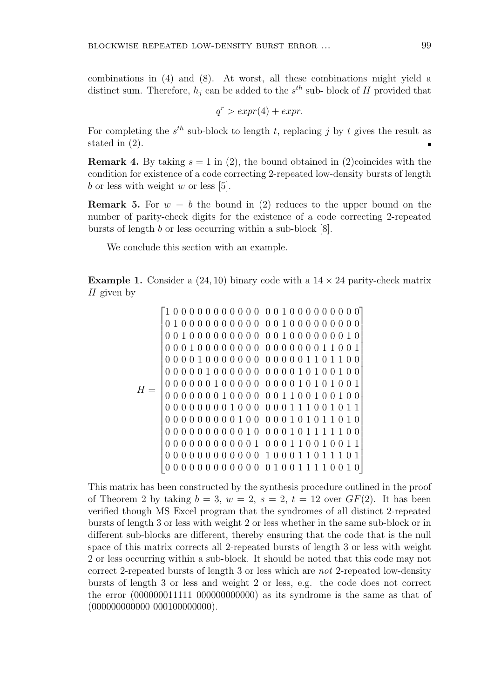combinations in (4) and (8). At worst, all these combinations might yield a distinct sum. Therefore,  $h_j$  can be added to the  $s^{th}$  sub-block of *H* provided that

$$
q^r > \exp(r(4) + \exp r).
$$

For completing the  $s^{th}$  sub-block to length  $t$ , replacing  $j$  by  $t$  gives the result as stated in (2).

**Remark 4.** By taking  $s = 1$  in (2), the bound obtained in (2)coincides with the condition for existence of a code correcting 2-repeated low-density bursts of length *b* or less with weight *w* or less [5].

**Remark 5.** For  $w = b$  the bound in (2) reduces to the upper bound on the number of parity-check digits for the existence of a code correcting 2-repeated bursts of length *b* or less occurring within a sub-block [8].

We conclude this section with an example.

**Example 1.** Consider a  $(24, 10)$  binary code with a  $14 \times 24$  parity-check matrix *H* given by

*H* = 1 0 0 0 0 0 0 0 0 0 0 0 0 0 1 0 0 0 0 0 0 0 0 0 0 1 0 0 0 0 0 0 0 0 0 0 0 0 1 0 0 0 0 0 0 0 0 0 0 0 1 0 0 0 0 0 0 0 0 0 0 0 1 0 0 0 0 0 0 0 1 0 0 0 0 1 0 0 0 0 0 0 0 0 0 0 0 0 0 0 0 1 1 0 0 1 0 0 0 0 1 0 0 0 0 0 0 0 0 0 0 0 0 1 1 0 1 1 0 0 0 0 0 0 0 1 0 0 0 0 0 0 0 0 0 0 1 0 1 0 0 1 0 0 0 0 0 0 0 0 1 0 0 0 0 0 0 0 0 0 1 0 1 0 1 0 0 1 0 0 0 0 0 0 0 1 0 0 0 0 0 0 1 1 0 0 1 0 0 1 0 0 0 0 0 0 0 0 0 0 1 0 0 0 0 0 0 1 1 1 0 0 1 0 1 1 0 0 0 0 0 0 0 0 0 1 0 0 0 0 0 1 0 1 0 1 1 0 1 0 0 0 0 0 0 0 0 0 0 0 1 0 0 0 0 1 0 1 1 1 1 1 0 0 0 0 0 0 0 0 0 0 0 0 0 1 0 0 0 1 1 0 0 1 0 0 1 1 0 0 0 0 0 0 0 0 0 0 0 0 1 0 0 0 1 1 0 1 1 1 0 1 0 0 0 0 0 0 0 0 0 0 0 0 0 1 0 0 1 1 1 1 0 0 1 0 

This matrix has been constructed by the synthesis procedure outlined in the proof of Theorem 2 by taking  $b = 3$ ,  $w = 2$ ,  $s = 2$ ,  $t = 12$  over  $GF(2)$ . It has been verified though MS Excel program that the syndromes of all distinct 2-repeated bursts of length 3 or less with weight 2 or less whether in the same sub-block or in different sub-blocks are different, thereby ensuring that the code that is the null space of this matrix corrects all 2-repeated bursts of length 3 or less with weight 2 or less occurring within a sub-block. It should be noted that this code may not correct 2-repeated bursts of length 3 or less which are *not* 2-repeated low-density bursts of length 3 or less and weight 2 or less, e.g. the code does not correct the error (000000011111 000000000000) as its syndrome is the same as that of (000000000000 000100000000).